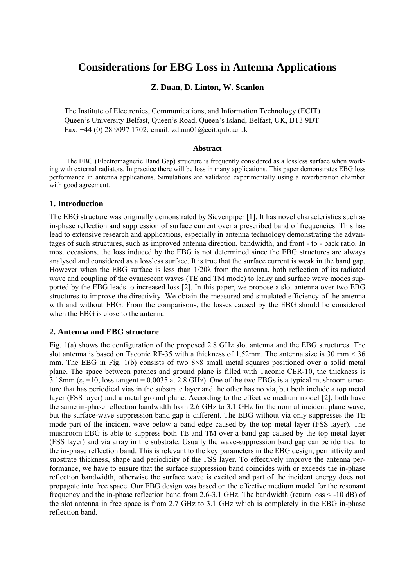# **Considerations for EBG Loss in Antenna Applications**

# **Z. Duan, D. Linton, W. Scanlon**

The Institute of Electronics, Communications, and Information Technology (ECIT) Queen's University Belfast, Queen's Road, Queen's Island, Belfast, UK, BT3 9DT Fax: +44 (0) 28 9097 1702; email: [zduan01@ecit.qub.ac.uk](mailto:zduan01@ecit.qub.ac.uk)

#### **Abstract**

The EBG (Electromagnetic Band Gap) structure is frequently considered as a lossless surface when working with external radiators. In practice there will be loss in many applications. This paper demonstrates EBG loss performance in antenna applications. Simulations are validated experimentally using a reverberation chamber with good agreement.

## **1. Introduction**

The EBG structure was originally demonstrated by Sievenpiper [1]. It has novel characteristics such as in-phase reflection and suppression of surface current over a prescribed band of frequencies. This has lead to extensive research and applications, especially in antenna technology demonstrating the advantages of such structures, such as improved antenna direction, bandwidth, and front - to - back ratio. In most occasions, the loss induced by the EBG is not determined since the EBG structures are always analysed and considered as a lossless surface. It is true that the surface current is weak in the band gap. However when the EBG surface is less than 1/20λ from the antenna, both reflection of its radiated wave and coupling of the evanescent waves (TE and TM mode) to leaky and surface wave modes supported by the EBG leads to increased loss [2]. In this paper, we propose a slot antenna over two EBG structures to improve the directivity. We obtain the measured and simulated efficiency of the antenna with and without EBG. From the comparisons, the losses caused by the EBG should be considered when the EBG is close to the antenna.

## **2. Antenna and EBG structure**

[Fig. 1](#page-1-0)(a) shows the configuration of the proposed 2.8 GHz slot antenna and the EBG structures. The slot antenna is based on Taconic RF-35 with a thickness of 1.52mm. The antenna size is 30 mm  $\times$  36 mm. The EBG in [Fig. 1\(](#page-1-0)b) consists of two 8×8 small metal squares positioned over a solid metal plane. The space between patches and ground plane is filled with Taconic CER-10, the thickness is  $3.18$ mm ( $\varepsilon_r$  =10, loss tangent = 0.0035 at 2.8 GHz). One of the two EBGs is a typical mushroom structure that has periodical vias in the substrate layer and the other has no via, but both include a top metal layer (FSS layer) and a metal ground plane. According to the effective medium model [2], both have the same in-phase reflection bandwidth from 2.6 GHz to 3.1 GHz for the normal incident plane wave, but the surface-wave suppression band gap is different. The EBG without via only suppresses the TE mode part of the incident wave below a band edge caused by the top metal layer (FSS layer). The mushroom EBG is able to suppress both TE and TM over a band gap caused by the top metal layer (FSS layer) and via array in the substrate. Usually the wave-suppression band gap can be identical to the in-phase reflection band. This is relevant to the key parameters in the EBG design; permittivity and substrate thickness, shape and periodicity of the FSS layer. To effectively improve the antenna performance, we have to ensure that the surface suppression band coincides with or exceeds the in-phase reflection bandwidth, otherwise the surface wave is excited and part of the incident energy does not propagate into free space. Our EBG design was based on the effective medium model for the resonant frequency and the in-phase reflection band from 2.6-3.1 GHz. The bandwidth (return loss < -10 dB) of the slot antenna in free space is from 2.7 GHz to 3.1 GHz which is completely in the EBG in-phase reflection band.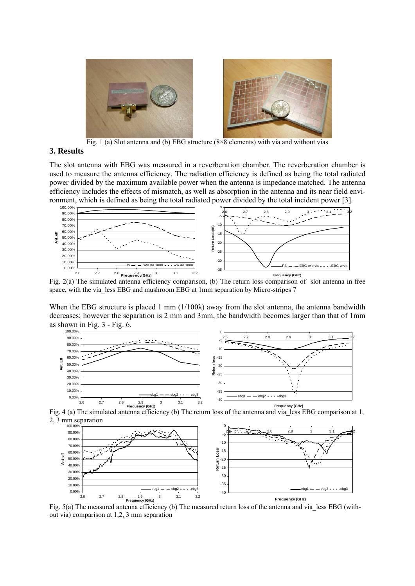

Fig. 1 (a) Slot antenna and (b) EBG structure  $(8\times8$  elements) with via and without vias

#### <span id="page-1-0"></span>**3. Results**

The slot antenna with EBG was measured in a reverberation chamber. The reverberation chamber is used to measure the antenna efficiency. The radiation efficiency is defined as being the total radiated power divided by the maximum available power when the antenna is impedance matched. The antenna efficiency includes the effects of mismatch, as well as absorption in the antenna and its near field environment, which is defined as being the total radiated power divided by the total incident power [3].



Fig. 2(a) The simulated antenna efficiency comparison, (b) The return loss comparison of slot antenna in free space, with the via less EBG and mushroom EBG at 1mm separation by Micro-stripes 7

When the EBG structure is placed 1 mm (1/100λ) away from the slot antenna, the antenna bandwidth decreases; however the separation is 2 mm and 3mm, the bandwidth becomes larger than that of 1mm as shown in Fig. 3 - Fig. 6.







Fig. 5(a) The measured antenna efficiency (b) The measured return loss of the antenna and via less EBG (without via) comparison at 1,2, 3 mm separation